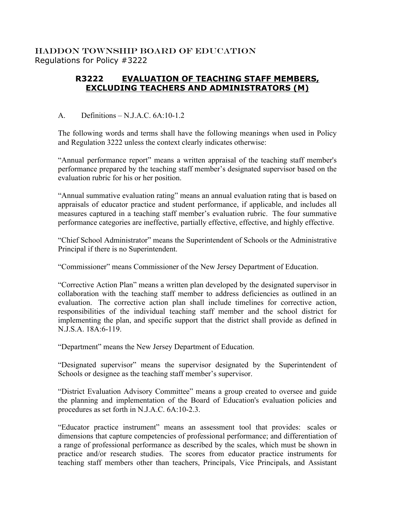HADDON TOWNSHIP BOARD OF EDUCATION Regulations for Policy #3222

## **R3222 EVALUATION OF TEACHING STAFF MEMBERS, EXCLUDING TEACHERS AND ADMINISTRATORS (M)**

## A. Definitions – N.J.A.C. 6A:10-1.2

The following words and terms shall have the following meanings when used in Policy and Regulation 3222 unless the context clearly indicates otherwise:

"Annual performance report" means a written appraisal of the teaching staff member's performance prepared by the teaching staff member's designated supervisor based on the evaluation rubric for his or her position.

"Annual summative evaluation rating" means an annual evaluation rating that is based on appraisals of educator practice and student performance, if applicable, and includes all measures captured in a teaching staff member's evaluation rubric. The four summative performance categories are ineffective, partially effective, effective, and highly effective.

"Chief School Administrator" means the Superintendent of Schools or the Administrative Principal if there is no Superintendent.

"Commissioner" means Commissioner of the New Jersey Department of Education.

"Corrective Action Plan" means a written plan developed by the designated supervisor in collaboration with the teaching staff member to address deficiencies as outlined in an evaluation. The corrective action plan shall include timelines for corrective action, responsibilities of the individual teaching staff member and the school district for implementing the plan, and specific support that the district shall provide as defined in N.J.S.A. 18A:6-119.

"Department" means the New Jersey Department of Education.

"Designated supervisor" means the supervisor designated by the Superintendent of Schools or designee as the teaching staff member's supervisor.

"District Evaluation Advisory Committee" means a group created to oversee and guide the planning and implementation of the Board of Education's evaluation policies and procedures as set forth in N.J.A.C. 6A:10-2.3.

"Educator practice instrument" means an assessment tool that provides: scales or dimensions that capture competencies of professional performance; and differentiation of a range of professional performance as described by the scales, which must be shown in practice and/or research studies. The scores from educator practice instruments for teaching staff members other than teachers, Principals, Vice Principals, and Assistant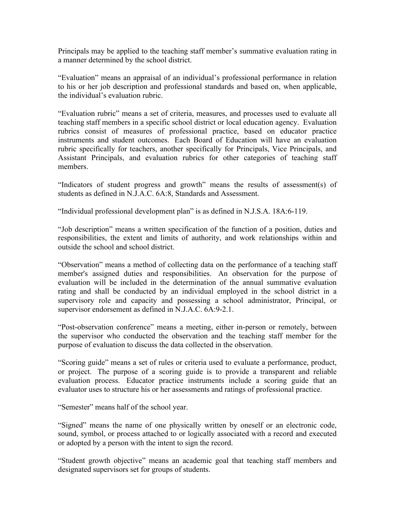Principals may be applied to the teaching staff member's summative evaluation rating in a manner determined by the school district.

"Evaluation" means an appraisal of an individual's professional performance in relation to his or her job description and professional standards and based on, when applicable, the individual's evaluation rubric.

"Evaluation rubric" means a set of criteria, measures, and processes used to evaluate all teaching staff members in a specific school district or local education agency. Evaluation rubrics consist of measures of professional practice, based on educator practice instruments and student outcomes. Each Board of Education will have an evaluation rubric specifically for teachers, another specifically for Principals, Vice Principals, and Assistant Principals, and evaluation rubrics for other categories of teaching staff members.

"Indicators of student progress and growth" means the results of assessment(s) of students as defined in N.J.A.C. 6A:8, Standards and Assessment.

"Individual professional development plan" is as defined in N.J.S.A. 18A:6-119.

"Job description" means a written specification of the function of a position, duties and responsibilities, the extent and limits of authority, and work relationships within and outside the school and school district.

"Observation" means a method of collecting data on the performance of a teaching staff member's assigned duties and responsibilities. An observation for the purpose of evaluation will be included in the determination of the annual summative evaluation rating and shall be conducted by an individual employed in the school district in a supervisory role and capacity and possessing a school administrator, Principal, or supervisor endorsement as defined in N.J.A.C. 6A:9-2.1.

"Post-observation conference" means a meeting, either in-person or remotely, between the supervisor who conducted the observation and the teaching staff member for the purpose of evaluation to discuss the data collected in the observation.

"Scoring guide" means a set of rules or criteria used to evaluate a performance, product, or project. The purpose of a scoring guide is to provide a transparent and reliable evaluation process. Educator practice instruments include a scoring guide that an evaluator uses to structure his or her assessments and ratings of professional practice.

"Semester" means half of the school year.

"Signed" means the name of one physically written by oneself or an electronic code, sound, symbol, or process attached to or logically associated with a record and executed or adopted by a person with the intent to sign the record.

"Student growth objective" means an academic goal that teaching staff members and designated supervisors set for groups of students.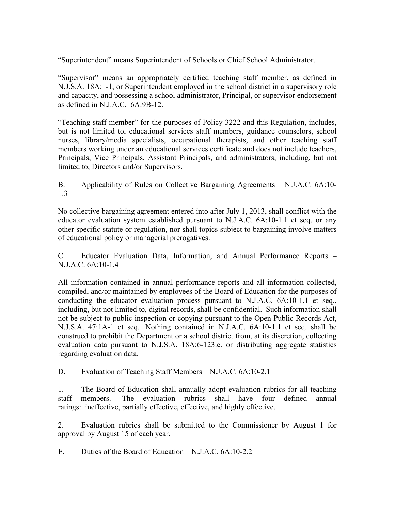"Superintendent" means Superintendent of Schools or Chief School Administrator.

"Supervisor" means an appropriately certified teaching staff member, as defined in N.J.S.A. 18A:1-1, or Superintendent employed in the school district in a supervisory role and capacity, and possessing a school administrator, Principal, or supervisor endorsement as defined in N.J.A.C. 6A:9B-12.

"Teaching staff member" for the purposes of Policy 3222 and this Regulation, includes, but is not limited to, educational services staff members, guidance counselors, school nurses, library/media specialists, occupational therapists, and other teaching staff members working under an educational services certificate and does not include teachers, Principals, Vice Principals, Assistant Principals, and administrators, including, but not limited to, Directors and/or Supervisors.

B. Applicability of Rules on Collective Bargaining Agreements – N.J.A.C. 6A:10- 1.3

No collective bargaining agreement entered into after July 1, 2013, shall conflict with the educator evaluation system established pursuant to N.J.A.C. 6A:10-1.1 et seq. or any other specific statute or regulation, nor shall topics subject to bargaining involve matters of educational policy or managerial prerogatives.

C. Educator Evaluation Data, Information, and Annual Performance Reports – N.J.A.C. 6A:10-1.4

All information contained in annual performance reports and all information collected, compiled, and/or maintained by employees of the Board of Education for the purposes of conducting the educator evaluation process pursuant to N.J.A.C. 6A:10-1.1 et seq., including, but not limited to, digital records, shall be confidential. Such information shall not be subject to public inspection or copying pursuant to the Open Public Records Act, N.J.S.A. 47:1A-1 et seq. Nothing contained in N.J.A.C. 6A:10-1.1 et seq. shall be construed to prohibit the Department or a school district from, at its discretion, collecting evaluation data pursuant to N.J.S.A. 18A:6-123.e. or distributing aggregate statistics regarding evaluation data.

D. Evaluation of Teaching Staff Members – N.J.A.C. 6A:10-2.1

1. The Board of Education shall annually adopt evaluation rubrics for all teaching staff members. The evaluation rubrics shall have four defined annual ratings: ineffective, partially effective, effective, and highly effective.

2. Evaluation rubrics shall be submitted to the Commissioner by August 1 for approval by August 15 of each year.

E. Duties of the Board of Education – N.J.A.C. 6A:10-2.2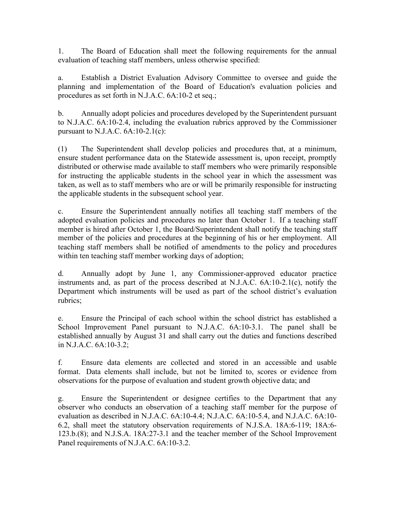1. The Board of Education shall meet the following requirements for the annual evaluation of teaching staff members, unless otherwise specified:

a. Establish a District Evaluation Advisory Committee to oversee and guide the planning and implementation of the Board of Education's evaluation policies and procedures as set forth in N.J.A.C. 6A:10-2 et seq.;

b. Annually adopt policies and procedures developed by the Superintendent pursuant to N.J.A.C. 6A:10-2.4, including the evaluation rubrics approved by the Commissioner pursuant to N.J.A.C.  $6A:10-2.1(c)$ :

(1) The Superintendent shall develop policies and procedures that, at a minimum, ensure student performance data on the Statewide assessment is, upon receipt, promptly distributed or otherwise made available to staff members who were primarily responsible for instructing the applicable students in the school year in which the assessment was taken, as well as to staff members who are or will be primarily responsible for instructing the applicable students in the subsequent school year.

c. Ensure the Superintendent annually notifies all teaching staff members of the adopted evaluation policies and procedures no later than October 1. If a teaching staff member is hired after October 1, the Board/Superintendent shall notify the teaching staff member of the policies and procedures at the beginning of his or her employment. All teaching staff members shall be notified of amendments to the policy and procedures within ten teaching staff member working days of adoption;

d. Annually adopt by June 1, any Commissioner-approved educator practice instruments and, as part of the process described at N.J.A.C. 6A:10-2.1(c), notify the Department which instruments will be used as part of the school district's evaluation rubrics;

e. Ensure the Principal of each school within the school district has established a School Improvement Panel pursuant to N.J.A.C. 6A:10-3.1. The panel shall be established annually by August 31 and shall carry out the duties and functions described in N.J.A.C. 6A:10-3.2;

f. Ensure data elements are collected and stored in an accessible and usable format. Data elements shall include, but not be limited to, scores or evidence from observations for the purpose of evaluation and student growth objective data; and

g. Ensure the Superintendent or designee certifies to the Department that any observer who conducts an observation of a teaching staff member for the purpose of evaluation as described in N.J.A.C. 6A:10-4.4; N.J.A.C. 6A:10-5.4, and N.J.A.C. 6A:10- 6.2, shall meet the statutory observation requirements of N.J.S.A. 18A:6-119; 18A:6- 123.b.(8); and N.J.S.A. 18A:27-3.1 and the teacher member of the School Improvement Panel requirements of N.J.A.C. 6A:10-3.2.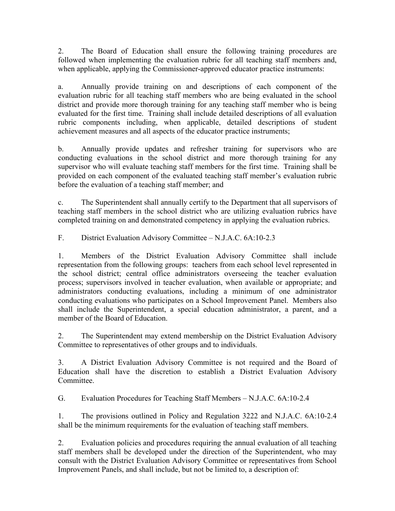2. The Board of Education shall ensure the following training procedures are followed when implementing the evaluation rubric for all teaching staff members and, when applicable, applying the Commissioner-approved educator practice instruments:

a. Annually provide training on and descriptions of each component of the evaluation rubric for all teaching staff members who are being evaluated in the school district and provide more thorough training for any teaching staff member who is being evaluated for the first time. Training shall include detailed descriptions of all evaluation rubric components including, when applicable, detailed descriptions of student achievement measures and all aspects of the educator practice instruments;

b. Annually provide updates and refresher training for supervisors who are conducting evaluations in the school district and more thorough training for any supervisor who will evaluate teaching staff members for the first time. Training shall be provided on each component of the evaluated teaching staff member's evaluation rubric before the evaluation of a teaching staff member; and

c. The Superintendent shall annually certify to the Department that all supervisors of teaching staff members in the school district who are utilizing evaluation rubrics have completed training on and demonstrated competency in applying the evaluation rubrics.

F. District Evaluation Advisory Committee – N.J.A.C. 6A:10-2.3

1. Members of the District Evaluation Advisory Committee shall include representation from the following groups: teachers from each school level represented in the school district; central office administrators overseeing the teacher evaluation process; supervisors involved in teacher evaluation, when available or appropriate; and administrators conducting evaluations, including a minimum of one administrator conducting evaluations who participates on a School Improvement Panel. Members also shall include the Superintendent, a special education administrator, a parent, and a member of the Board of Education.

2. The Superintendent may extend membership on the District Evaluation Advisory Committee to representatives of other groups and to individuals.

3. A District Evaluation Advisory Committee is not required and the Board of Education shall have the discretion to establish a District Evaluation Advisory Committee.

G. Evaluation Procedures for Teaching Staff Members – N.J.A.C. 6A:10-2.4

1. The provisions outlined in Policy and Regulation 3222 and N.J.A.C. 6A:10-2.4 shall be the minimum requirements for the evaluation of teaching staff members.

2. Evaluation policies and procedures requiring the annual evaluation of all teaching staff members shall be developed under the direction of the Superintendent, who may consult with the District Evaluation Advisory Committee or representatives from School Improvement Panels, and shall include, but not be limited to, a description of: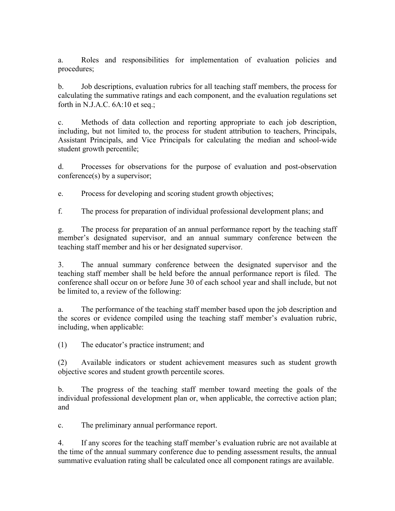a. Roles and responsibilities for implementation of evaluation policies and procedures;

b. Job descriptions, evaluation rubrics for all teaching staff members, the process for calculating the summative ratings and each component, and the evaluation regulations set forth in N.J.A.C. 6A:10 et seq.;

c. Methods of data collection and reporting appropriate to each job description, including, but not limited to, the process for student attribution to teachers, Principals, Assistant Principals, and Vice Principals for calculating the median and school-wide student growth percentile;

d. Processes for observations for the purpose of evaluation and post-observation conference(s) by a supervisor;

e. Process for developing and scoring student growth objectives;

f. The process for preparation of individual professional development plans; and

g. The process for preparation of an annual performance report by the teaching staff member's designated supervisor, and an annual summary conference between the teaching staff member and his or her designated supervisor.

3. The annual summary conference between the designated supervisor and the teaching staff member shall be held before the annual performance report is filed. The conference shall occur on or before June 30 of each school year and shall include, but not be limited to, a review of the following:

a. The performance of the teaching staff member based upon the job description and the scores or evidence compiled using the teaching staff member's evaluation rubric, including, when applicable:

(1) The educator's practice instrument; and

(2) Available indicators or student achievement measures such as student growth objective scores and student growth percentile scores.

b. The progress of the teaching staff member toward meeting the goals of the individual professional development plan or, when applicable, the corrective action plan; and

c. The preliminary annual performance report.

4. If any scores for the teaching staff member's evaluation rubric are not available at the time of the annual summary conference due to pending assessment results, the annual summative evaluation rating shall be calculated once all component ratings are available.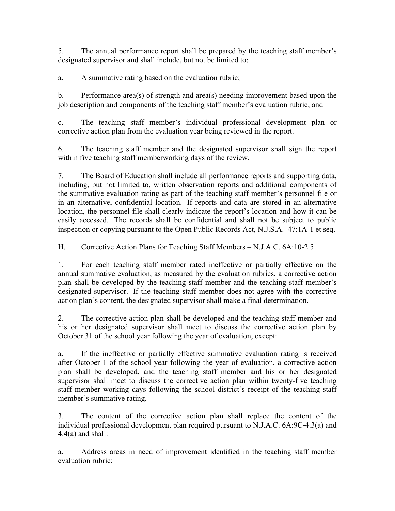5. The annual performance report shall be prepared by the teaching staff member's designated supervisor and shall include, but not be limited to:

a. A summative rating based on the evaluation rubric;

b. Performance area(s) of strength and area(s) needing improvement based upon the job description and components of the teaching staff member's evaluation rubric; and

c. The teaching staff member's individual professional development plan or corrective action plan from the evaluation year being reviewed in the report.

6. The teaching staff member and the designated supervisor shall sign the report within five teaching staff memberworking days of the review.

7. The Board of Education shall include all performance reports and supporting data, including, but not limited to, written observation reports and additional components of the summative evaluation rating as part of the teaching staff member's personnel file or in an alternative, confidential location. If reports and data are stored in an alternative location, the personnel file shall clearly indicate the report's location and how it can be easily accessed. The records shall be confidential and shall not be subject to public inspection or copying pursuant to the Open Public Records Act, N.J.S.A. 47:1A-1 et seq.

H. Corrective Action Plans for Teaching Staff Members – N.J.A.C. 6A:10-2.5

1. For each teaching staff member rated ineffective or partially effective on the annual summative evaluation, as measured by the evaluation rubrics, a corrective action plan shall be developed by the teaching staff member and the teaching staff member's designated supervisor. If the teaching staff member does not agree with the corrective action plan's content, the designated supervisor shall make a final determination.

2. The corrective action plan shall be developed and the teaching staff member and his or her designated supervisor shall meet to discuss the corrective action plan by October 31 of the school year following the year of evaluation, except:

a. If the ineffective or partially effective summative evaluation rating is received after October 1 of the school year following the year of evaluation, a corrective action plan shall be developed, and the teaching staff member and his or her designated supervisor shall meet to discuss the corrective action plan within twenty-five teaching staff member working days following the school district's receipt of the teaching staff member's summative rating.

3. The content of the corrective action plan shall replace the content of the individual professional development plan required pursuant to N.J.A.C. 6A:9C-4.3(a) and  $4.4(a)$  and shall:

a. Address areas in need of improvement identified in the teaching staff member evaluation rubric;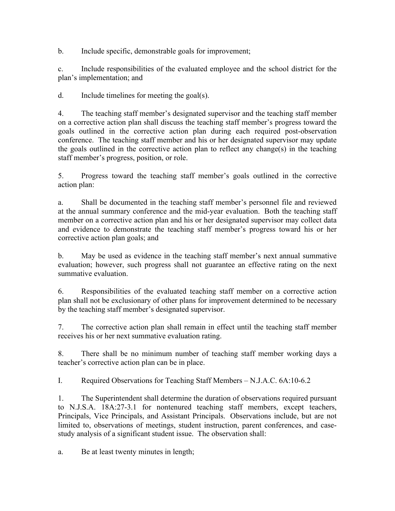b. Include specific, demonstrable goals for improvement;

c. Include responsibilities of the evaluated employee and the school district for the plan's implementation; and

d. Include timelines for meeting the goal(s).

4. The teaching staff member's designated supervisor and the teaching staff member on a corrective action plan shall discuss the teaching staff member's progress toward the goals outlined in the corrective action plan during each required post-observation conference. The teaching staff member and his or her designated supervisor may update the goals outlined in the corrective action plan to reflect any change(s) in the teaching staff member's progress, position, or role.

5. Progress toward the teaching staff member's goals outlined in the corrective action plan:

a. Shall be documented in the teaching staff member's personnel file and reviewed at the annual summary conference and the mid-year evaluation. Both the teaching staff member on a corrective action plan and his or her designated supervisor may collect data and evidence to demonstrate the teaching staff member's progress toward his or her corrective action plan goals; and

b. May be used as evidence in the teaching staff member's next annual summative evaluation; however, such progress shall not guarantee an effective rating on the next summative evaluation.

6. Responsibilities of the evaluated teaching staff member on a corrective action plan shall not be exclusionary of other plans for improvement determined to be necessary by the teaching staff member's designated supervisor.

7. The corrective action plan shall remain in effect until the teaching staff member receives his or her next summative evaluation rating.

8. There shall be no minimum number of teaching staff member working days a teacher's corrective action plan can be in place.

I. Required Observations for Teaching Staff Members – N.J.A.C. 6A:10-6.2

1. The Superintendent shall determine the duration of observations required pursuant to N.J.S.A. 18A:27-3.1 for nontenured teaching staff members, except teachers, Principals, Vice Principals, and Assistant Principals. Observations include, but are not limited to, observations of meetings, student instruction, parent conferences, and casestudy analysis of a significant student issue. The observation shall:

a. Be at least twenty minutes in length;